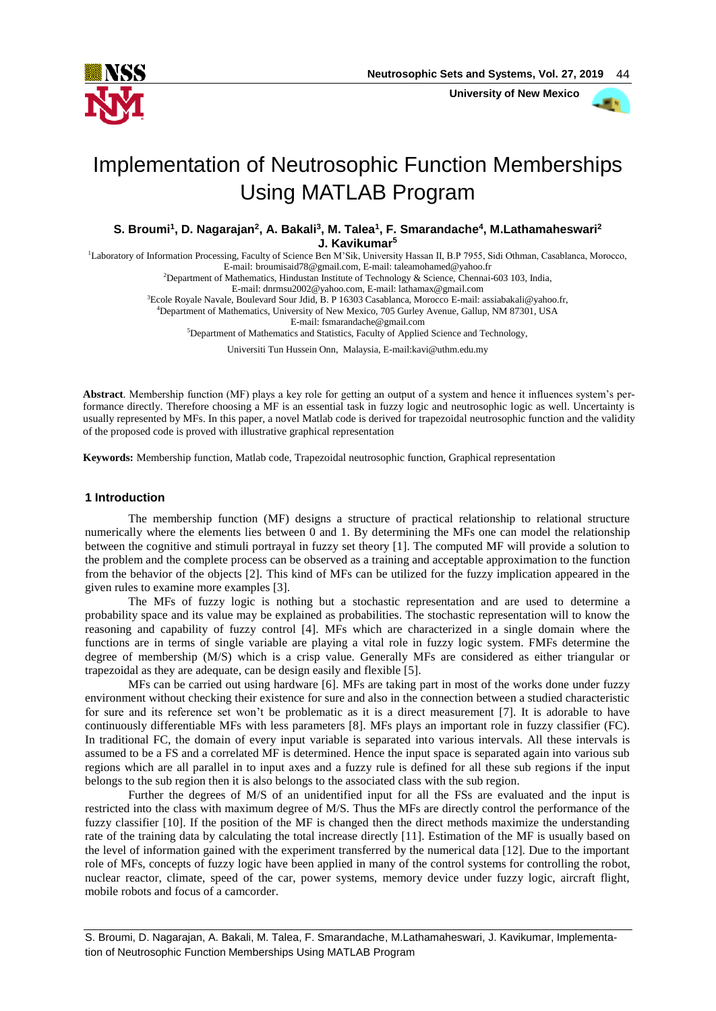

 **University of New Mexico**



# Implementation of Neutrosophic Function Memberships Using MATLAB Program

**S. Broumi<sup>1</sup> , D. Nagarajan<sup>2</sup> , A. Bakali<sup>3</sup> , M. Talea<sup>1</sup> , F. Smarandache<sup>4</sup> , M.Lathamaheswari<sup>2</sup> J. Kavikumar<sup>5</sup>**

<sup>1</sup>Laboratory of Information Processing, Faculty of Science Ben M'Sik, University Hassan II, B.P 7955, Sidi Othman, Casablanca, Morocco, E-mail: [broumisaid78@gmail.com,](mailto:broumisaid78@gmail.com) E-mail: taleamohamed@yahoo.fr

<sup>2</sup>Department of Mathematics, Hindustan Institute of Technology & Science, Chennai-603 103, India,

E-mail[: dnrmsu2002@yahoo.com,](mailto:dnrmsu2002@yahoo.com) E-mail: lathamax@gmail.com

<sup>3</sup>Ecole Royale Navale, Boulevard Sour Jdid, B. P 16303 Casablanca, Morocco E-mail[: assiabakali@yahoo.fr,](mailto:assiabakali@yahoo.fr) <sup>4</sup>Department of Mathematics, University of New Mexico, 705 Gurley Avenue, Gallup, NM 87301, USA

E-mail: fsmarandache@gmail.com

<sup>5</sup>Department of Mathematics and Statistics, Faculty of Applied Science and Technology,

Universiti Tun Hussein Onn, Malaysia, E-mail:kavi@uthm.edu.my

**Abstract**. Membership function (MF) plays a key role for getting an output of a system and hence it influences system's performance directly. Therefore choosing a MF is an essential task in fuzzy logic and neutrosophic logic as well. Uncertainty is usually represented by MFs. In this paper, a novel Matlab code is derived for trapezoidal neutrosophic function and the validity of the proposed code is proved with illustrative graphical representation

**Keywords:** Membership function, Matlab code, Trapezoidal neutrosophic function, Graphical representation

# **1 Introduction**

The membership function (MF) designs a structure of practical relationship to relational structure numerically where the elements lies between 0 and 1. By determining the MFs one can model the relationship between the cognitive and stimuli portrayal in fuzzy set theory [1]. The computed MF will provide a solution to the problem and the complete process can be observed as a training and acceptable approximation to the function from the behavior of the objects [2]. This kind of MFs can be utilized for the fuzzy implication appeared in the given rules to examine more examples [3].

The MFs of fuzzy logic is nothing but a stochastic representation and are used to determine a probability space and its value may be explained as probabilities. The stochastic representation will to know the reasoning and capability of fuzzy control [4]. MFs which are characterized in a single domain where the functions are in terms of single variable are playing a vital role in fuzzy logic system. FMFs determine the degree of membership (M/S) which is a crisp value. Generally MFs are considered as either triangular or trapezoidal as they are adequate, can be design easily and flexible [5].

MFs can be carried out using hardware [6]. MFs are taking part in most of the works done under fuzzy environment without checking their existence for sure and also in the connection between a studied characteristic for sure and its reference set won't be problematic as it is a direct measurement [7]. It is adorable to have continuously differentiable MFs with less parameters [8]. MFs plays an important role in fuzzy classifier (FC). In traditional FC, the domain of every input variable is separated into various intervals. All these intervals is assumed to be a FS and a correlated MF is determined. Hence the input space is separated again into various sub regions which are all parallel in to input axes and a fuzzy rule is defined for all these sub regions if the input belongs to the sub region then it is also belongs to the associated class with the sub region.

Further the degrees of M/S of an unidentified input for all the FSs are evaluated and the input is restricted into the class with maximum degree of M/S. Thus the MFs are directly control the performance of the fuzzy classifier [10]. If the position of the MF is changed then the direct methods maximize the understanding rate of the training data by calculating the total increase directly [11]. Estimation of the MF is usually based on the level of information gained with the experiment transferred by the numerical data [12]. Due to the important role of MFs, concepts of fuzzy logic have been applied in many of the control systems for controlling the robot, nuclear reactor, climate, speed of the car, power systems, memory device under fuzzy logic, aircraft flight, mobile robots and focus of a camcorder.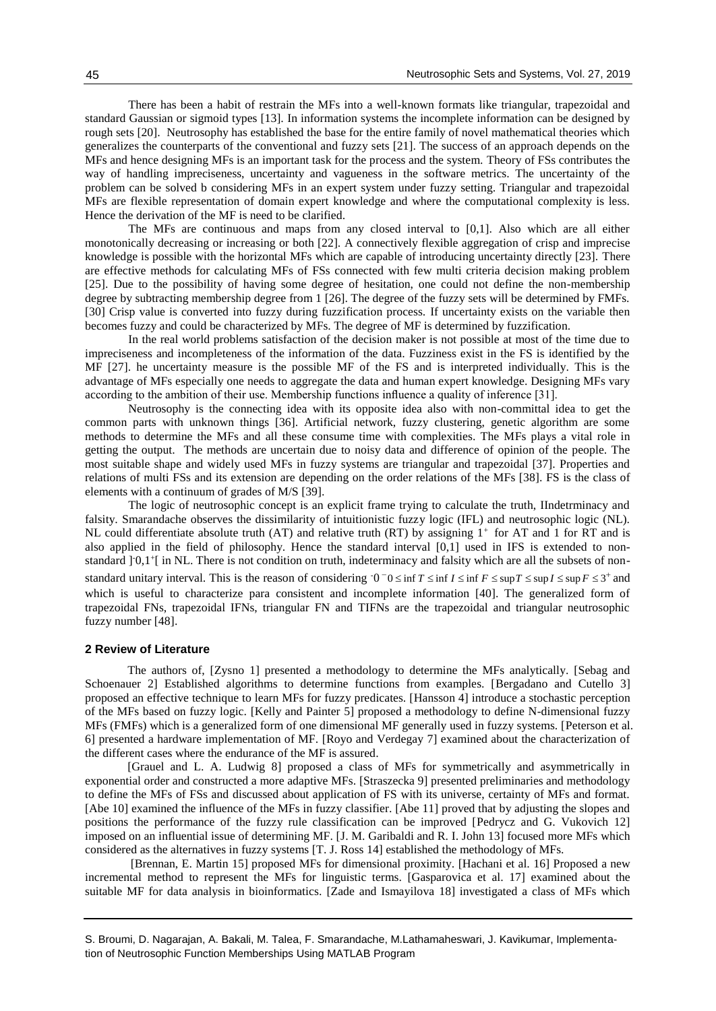There has been a habit of restrain the MFs into a well-known formats like triangular, trapezoidal and standard Gaussian or sigmoid types [13]. In information systems the incomplete information can be designed by rough sets [20]. Neutrosophy has established the base for the entire family of novel mathematical theories which generalizes the counterparts of the conventional and fuzzy sets [21]. The success of an approach depends on the MFs and hence designing MFs is an important task for the process and the system. Theory of FSs contributes the way of handling impreciseness, uncertainty and vagueness in the software metrics. The uncertainty of the problem can be solved b considering MFs in an expert system under fuzzy setting. Triangular and trapezoidal MFs are flexible representation of domain expert knowledge and where the computational complexity is less. Hence the derivation of the MF is need to be clarified.

The MFs are continuous and maps from any closed interval to [0,1]. Also which are all either monotonically decreasing or increasing or both [22]. A connectively flexible aggregation of crisp and imprecise knowledge is possible with the horizontal MFs which are capable of introducing uncertainty directly [23]. There are effective methods for calculating MFs of FSs connected with few multi criteria decision making problem [25]. Due to the possibility of having some degree of hesitation, one could not define the non-membership degree by subtracting membership degree from 1 [26]. The degree of the fuzzy sets will be determined by FMFs. [30] Crisp value is converted into fuzzy during fuzzification process. If uncertainty exists on the variable then becomes fuzzy and could be characterized by MFs. The degree of MF is determined by fuzzification.

In the real world problems satisfaction of the decision maker is not possible at most of the time due to impreciseness and incompleteness of the information of the data. Fuzziness exist in the FS is identified by the MF [27]. he uncertainty measure is the possible MF of the FS and is interpreted individually. This is the advantage of MFs especially one needs to aggregate the data and human expert knowledge. Designing MFs vary according to the ambition of their use. Membership functions influence a quality of inference [31].

Neutrosophy is the connecting idea with its opposite idea also with non-committal idea to get the common parts with unknown things [36]. Artificial network, fuzzy clustering, genetic algorithm are some methods to determine the MFs and all these consume time with complexities. The MFs plays a vital role in getting the output. The methods are uncertain due to noisy data and difference of opinion of the people. The most suitable shape and widely used MFs in fuzzy systems are triangular and trapezoidal [37]. Properties and relations of multi FSs and its extension are depending on the order relations of the MFs [38]. FS is the class of elements with a continuum of grades of M/S [39].

The logic of neutrosophic concept is an explicit frame trying to calculate the truth, IIndetrminacy and falsity. Smarandache observes the dissimilarity of intuitionistic fuzzy logic (IFL) and neutrosophic logic (NL). NL could differentiate absolute truth (AT) and relative truth (RT) by assigning  $1^+$  for AT and 1 for RT and is also applied in the field of philosophy. Hence the standard interval [0,1] used in IFS is extended to nonstandard ] 0,1<sup>+</sup>[ in NL. There is not condition on truth, indeterminacy and falsity which are all the subsets of nonstandard unitary interval. This is the reason of considering  $0^-0 \le \inf T \le \inf I \le \inf F \le \sup T \le \sup I \le \sup I \le 3^+$  and which is useful to characterize para consistent and incomplete information [40]. The generalized form of trapezoidal FNs, trapezoidal IFNs, triangular FN and TIFNs are the trapezoidal and triangular neutrosophic fuzzy number [48].

#### **2 Review of Literature**

The authors of, [Zysno 1] presented a methodology to determine the MFs analytically. [Sebag and Schoenauer 2] Established algorithms to determine functions from examples. [Bergadano and Cutello 3] proposed an effective technique to learn MFs for fuzzy predicates. [Hansson 4] introduce a stochastic perception of the MFs based on fuzzy logic. [Kelly and Painter 5] proposed a methodology to define N-dimensional fuzzy MFs (FMFs) which is a generalized form of one dimensional MF generally used in fuzzy systems. [Peterson et al. 6] presented a hardware implementation of MF. [Royo and Verdegay 7] examined about the characterization of the different cases where the endurance of the MF is assured.

[Grauel and L. A. Ludwig 8] proposed a class of MFs for symmetrically and asymmetrically in exponential order and constructed a more adaptive MFs. [Straszecka 9] presented preliminaries and methodology to define the MFs of FSs and discussed about application of FS with its universe, certainty of MFs and format. [Abe 10] examined the influence of the MFs in fuzzy classifier. [Abe 11] proved that by adjusting the slopes and positions the performance of the fuzzy rule classification can be improved [Pedrycz and G. Vukovich 12] imposed on an influential issue of determining MF. [J. M. Garibaldi and R. I. John 13] focused more MFs which considered as the alternatives in fuzzy systems [T. J. Ross 14] established the methodology of MFs.

[Brennan, E. Martin 15] proposed MFs for dimensional proximity. [Hachani et al. 16] Proposed a new incremental method to represent the MFs for linguistic terms. [Gasparovica et al. 17] examined about the suitable MF for data analysis in bioinformatics. [Zade and Ismayilova 18] investigated a class of MFs which

S. Broumi, D. Nagarajan, A. Bakali, M. Talea, F. Smarandache, M.Lathamaheswari, J. Kavikumar, Implementation of Neutrosophic Function Memberships Using MATLAB Program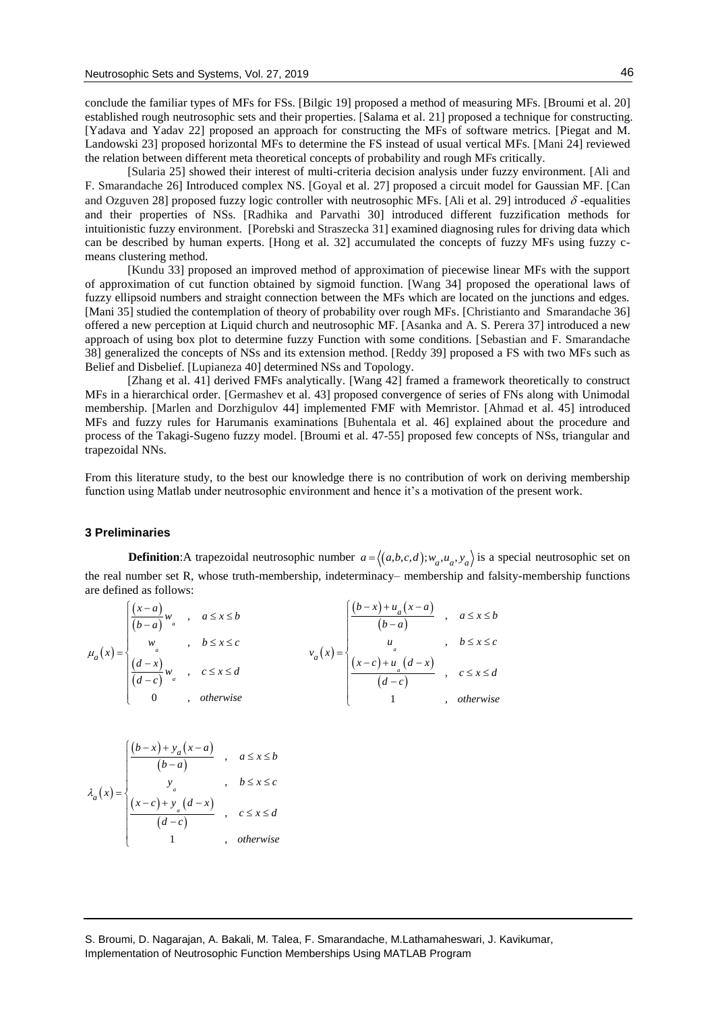conclude the familiar types of MFs for FSs. [Bilgic 19] proposed a method of measuring MFs. [Broumi et al. 20] established rough neutrosophic sets and their properties. [Salama et al. 21] proposed a technique for constructing. [Yadava and Yadav 22] proposed an approach for constructing the MFs of software metrics. [Piegat and M. Landowski 23] proposed horizontal MFs to determine the FS instead of usual vertical MFs. [Mani 24] reviewed the relation between different meta theoretical concepts of probability and rough MFs critically.

[Sularia 25] showed their interest of multi-criteria decision analysis under fuzzy environment. [Ali and F. Smarandache 26] Introduced complex NS. [Goyal et al. 27] proposed a circuit model for Gaussian MF. [Can and Ozguven 28] proposed fuzzy logic controller with neutrosophic MFs. [Ali et al. 29] introduced  $\delta$ -equalities and their properties of NSs. [Radhika and Parvathi 30] introduced different fuzzification methods for intuitionistic fuzzy environment. [Porebski and Straszecka 31] examined diagnosing rules for driving data which can be described by human experts. [Hong et al. 32] accumulated the concepts of fuzzy MFs using fuzzy cmeans clustering method.

[Kundu 33] proposed an improved method of approximation of piecewise linear MFs with the support of approximation of cut function obtained by sigmoid function. [Wang 34] proposed the operational laws of fuzzy ellipsoid numbers and straight connection between the MFs which are located on the junctions and edges. [Mani 35] studied the contemplation of theory of probability over rough MFs. [Christianto and Smarandache 36] offered a new perception at Liquid church and neutrosophic MF. [Asanka and A. S. Perera 37] introduced a new approach of using box plot to determine fuzzy Function with some conditions. [Sebastian and F. Smarandache 38] generalized the concepts of NSs and its extension method. [Reddy 39] proposed a FS with two MFs such as Belief and Disbelief. [Lupianeza 40] determined NSs and Topology.

[Zhang et al. 41] derived FMFs analytically. [Wang 42] framed a framework theoretically to construct MFs in a hierarchical order. [Germashev et al. 43] proposed convergence of series of FNs along with Unimodal membership. [Marlen and Dorzhigulov 44] implemented FMF with Memristor. [Ahmad et al. 45] introduced MFs and fuzzy rules for Harumanis examinations [Buhentala et al. 46] explained about the procedure and process of the Takagi-Sugeno fuzzy model. [Broumi et al. 47-55] proposed few concepts of NSs, triangular and trapezoidal NNs.

From this literature study, to the best our knowledge there is no contribution of work on deriving membership function using Matlab under neutrosophic environment and hence it's a motivation of the present work.

### **3 Preliminaries**

**Definition**:A trapezoidal neutrosophic number  $a = \langle (a,b,c,d); w_a, u_a, v_a \rangle$  is a special neutrosophic set on the real number set R, whose truth-membership, indeterminacy– membership and falsity-membership functions are defined as follows:

| $\mu_a(x) = \begin{cases} w_a & , b \leq x \leq c \\ \frac{(d-x)}{(d-c)} w_a & , c \leq x \leq d \end{cases}$ | $\begin{cases} \frac{(x-a)}{(b-a)}w & , a \leq x \leq b \\ 0 & \end{cases}$ |  |  | $\frac{(b-x)+u_a(x-a)}{(b-a)}$ , $a \le x \le b$                                                                                  |             |
|---------------------------------------------------------------------------------------------------------------|-----------------------------------------------------------------------------|--|--|-----------------------------------------------------------------------------------------------------------------------------------|-------------|
|                                                                                                               |                                                                             |  |  | $u_a$ , $b \le x \le c$                                                                                                           |             |
|                                                                                                               |                                                                             |  |  | $v_a(x) = \begin{cases} u_a & , & b \le x \le c \\ (x-c) + u_a(d-x) & , & c \le x \le d \\ (d-c) & , & c \le x \le d \end{cases}$ |             |
|                                                                                                               | $\begin{pmatrix} 0 & 0 \\ 0 & 0 \end{pmatrix}$ , otherwise                  |  |  |                                                                                                                                   | , otherwise |

$$
\lambda_a(x) = \begin{cases}\n\frac{(b-x) + y_a(x-a)}{(b-a)} , & a \le x \le b \\
y_a , & b \le x \le c \\
\frac{(x-c) + y_a(d-x)}{(d-c)} , & c \le x \le d \\
1 , & \text{otherwise}\n\end{cases}
$$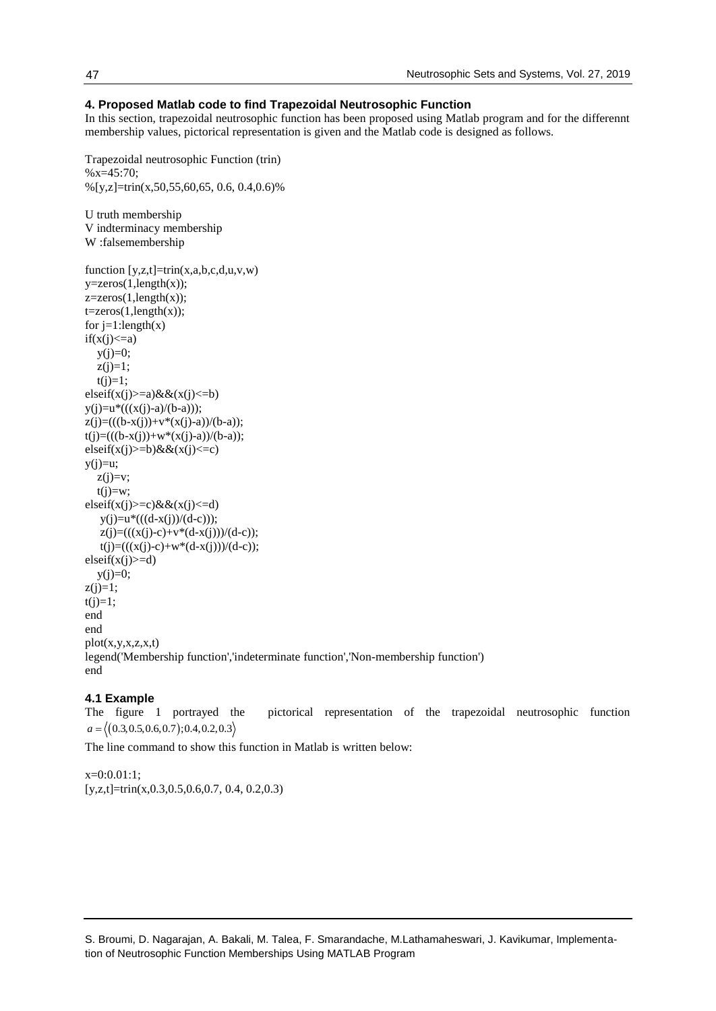# **4. Proposed Matlab code to find Trapezoidal Neutrosophic Function**

In this section, trapezoidal neutrosophic function has been proposed using Matlab program and for the differennt membership values, pictorical representation is given and the Matlab code is designed as follows.

```
Trapezoidal neutrosophic Function (trin)
\%x=45:70;\%[y,z]=trin(x,50,55,60,65, 0.6, 0.4,0.6)%
U truth membership
V indterminacy membership
W :falsemembership
function [y, z, t] = \text{trin}(x, a, b, c, d, u, v, w)y = zeros(1, length(x));z = zeros(1, length(x));t = zeros(1, length(x));for j=1:length(x)if(x(j) \leq a)y(i)=0;z(i)=1;t(i)=1;
elseif(x(j)>=a)&&(x(j)<=b)
y(j)=u^*((x(j)-a)/(b-a)));z(j)=((b-x(j))+v*(x(j)-a))/(b-a));t(j)=(((b-x(j))+w*(x(j)-a))/(b-a));elseif(x(j)>=b)&&(x(j)<=c)
y(j)=u;z(j)=v;t(j)=w;elseif(x(j)>=c) & \&(x(j) <= d)
   y(j)=u*((\text{(d-x}(j))/(d-c)));
   z(j)=(((x(j)-c)+v*(d-x(j)))/(d-c));t(j)=(((x(j)-c)+w*(d-x(j)))/(d-c));elseif(x(j)>=d)y(j)=0;z(i)=1;t(j)=1;end
end
plot(x,y,x,z,x,t)legend('Membership function','indeterminate function','Non-membership function')
end
```
## **4.1 Example**

The figure 1 portrayed the pictorical representation of the trapezoidal neutrosophic function  $a = \langle (0.3, 0.5, 0.6, 0.7); 0.4, 0.2, 0.3 \rangle$ 

The line command to show this function in Matlab is written below:

 $x=0:0.01:1$ ; [y,z,t]=trin(x,0.3,0.5,0.6,0.7, 0.4, 0.2,0.3)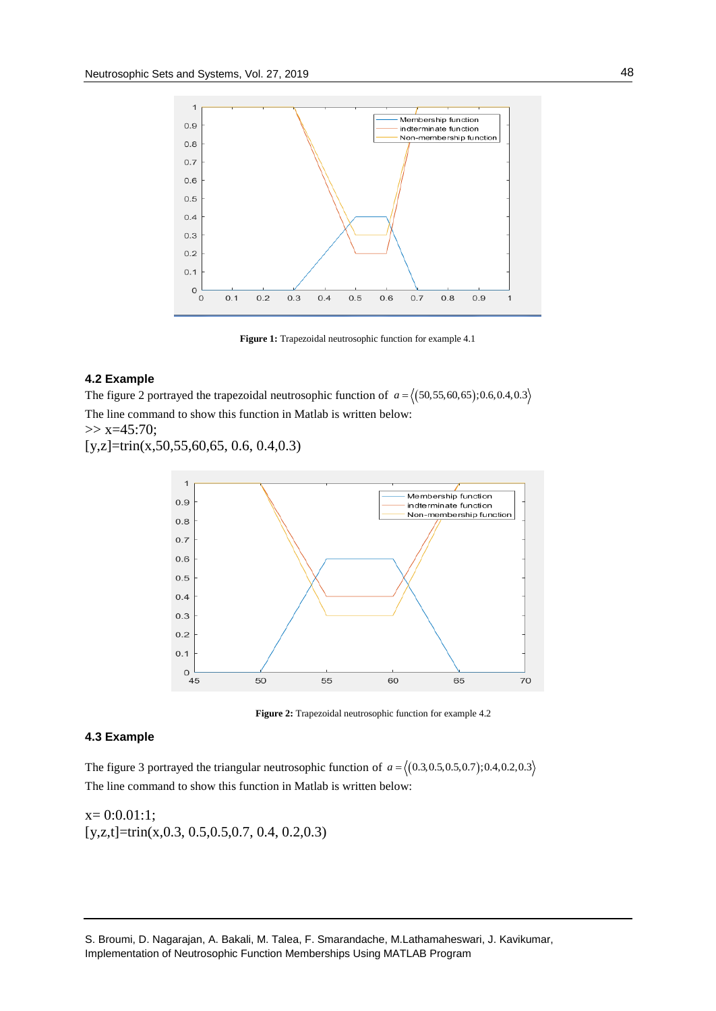

**Figure 1:** Trapezoidal neutrosophic function for example 4.1

# **4.2 Example**

The figure 2 portrayed the trapezoidal neutrosophic function of  $a = \langle (50, 55, 60, 65); 0.6, 0.4, 0.3 \rangle$ The line command to show this function in Matlab is written below:  $>> x=45:70;$ 

[y,z]=trin(x,50,55,60,65, 0.6, 0.4,0.3)



**Figure 2:** Trapezoidal neutrosophic function for example 4.2

# **4.3 Example**

The figure 3 portrayed the triangular neutrosophic function of  $a = \langle (0.3, 0.5, 0.5, 0.7); 0.4, 0.2, 0.3 \rangle$ The line command to show this function in Matlab is written below:

 $x= 0:0.01:1;$  $[y, z, t]$ =trin(x,0.3, 0.5,0.5,0.7, 0.4, 0.2,0.3)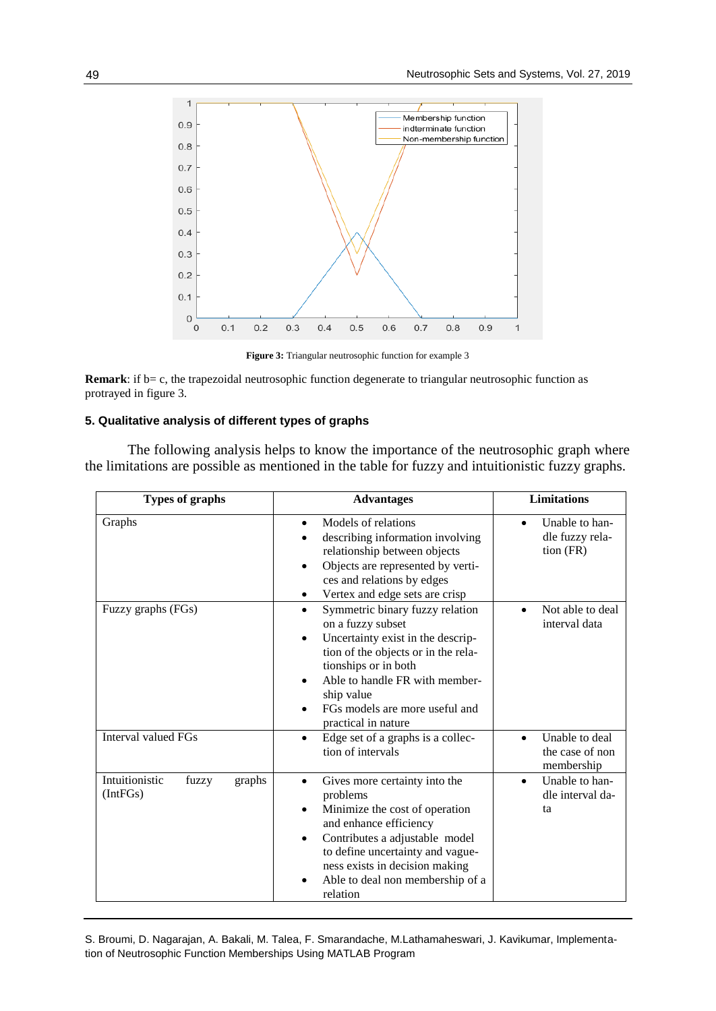

**Figure 3:** Triangular neutrosophic function for example 3

**Remark**: if b= c, the trapezoidal neutrosophic function degenerate to triangular neutrosophic function as protrayed in figure 3.

# **5. Qualitative analysis of different types of graphs**

The following analysis helps to know the importance of the neutrosophic graph where the limitations are possible as mentioned in the table for fuzzy and intuitionistic fuzzy graphs.

| Types of graphs                               | <b>Advantages</b>                                                                                                                                                                                                                                                                                        | <b>Limitations</b>                                            |
|-----------------------------------------------|----------------------------------------------------------------------------------------------------------------------------------------------------------------------------------------------------------------------------------------------------------------------------------------------------------|---------------------------------------------------------------|
| Graphs                                        | Models of relations<br>$\bullet$<br>describing information involving<br>relationship between objects<br>Objects are represented by verti-<br>ces and relations by edges<br>Vertex and edge sets are crisp                                                                                                | Unable to han-<br>$\bullet$<br>dle fuzzy rela-<br>$tion$ (FR) |
| Fuzzy graphs (FGs)                            | Symmetric binary fuzzy relation<br>$\bullet$<br>on a fuzzy subset<br>Uncertainty exist in the descrip-<br>$\bullet$<br>tion of the objects or in the rela-<br>tionships or in both<br>Able to handle FR with member-<br>$\bullet$<br>ship value<br>FGs models are more useful and<br>practical in nature | Not able to deal<br>$\bullet$<br>interval data                |
| <b>Interval valued FGs</b>                    | Edge set of a graphs is a collec-<br>$\bullet$<br>tion of intervals                                                                                                                                                                                                                                      | Unable to deal<br>the case of non<br>membership               |
| Intuitionistic<br>fuzzy<br>graphs<br>(IntFGs) | Gives more certainty into the<br>$\bullet$<br>problems<br>Minimize the cost of operation<br>$\bullet$<br>and enhance efficiency<br>Contributes a adjustable model<br>$\bullet$<br>to define uncertainty and vague-<br>ness exists in decision making<br>Able to deal non membership of a<br>relation     | Unable to han-<br>$\bullet$<br>dle interval da-<br>ta         |

S. Broumi, D. Nagarajan, A. Bakali, M. Talea, F. Smarandache, M.Lathamaheswari, J. Kavikumar, Implementation of Neutrosophic Function Memberships Using MATLAB Program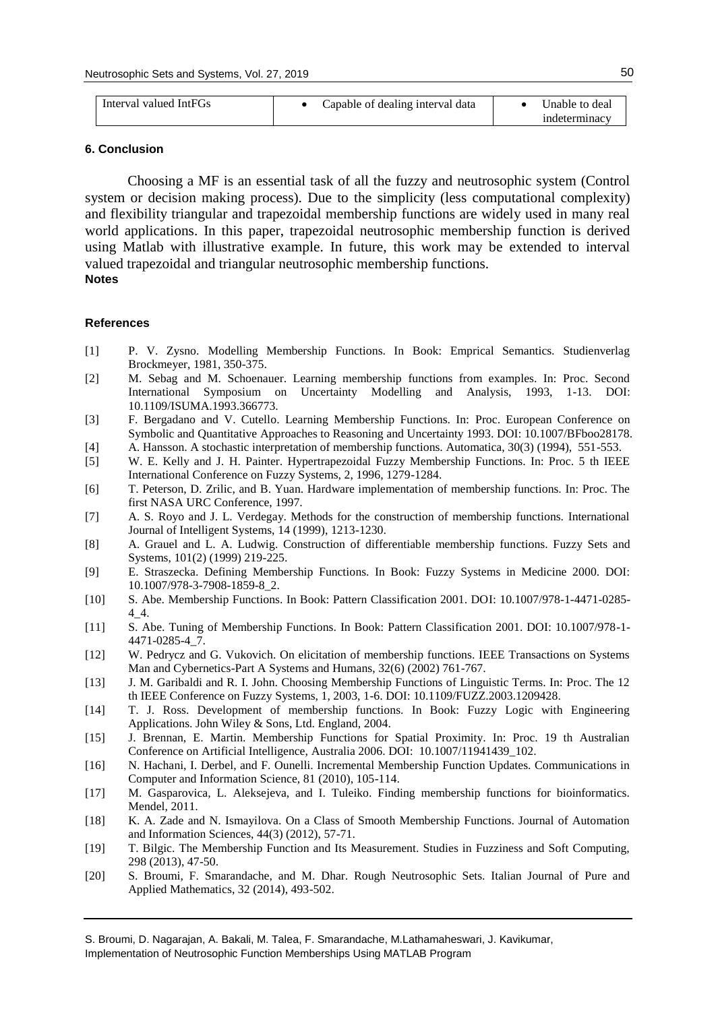| Interval valued IntFGs | Capable of dealing interval data | Unable to deal |
|------------------------|----------------------------------|----------------|
|                        |                                  | indeterminacy  |

### **6. Conclusion**

Choosing a MF is an essential task of all the fuzzy and neutrosophic system (Control system or decision making process). Due to the simplicity (less computational complexity) and flexibility triangular and trapezoidal membership functions are widely used in many real world applications. In this paper, trapezoidal neutrosophic membership function is derived using Matlab with illustrative example. In future, this work may be extended to interval valued trapezoidal and triangular neutrosophic membership functions. **Notes**

### **References**

- [1] P. V. Zysno. Modelling Membership Functions. In Book: Emprical Semantics. Studienverlag Brockmeyer, 1981, 350-375.
- [2] M. Sebag and M. Schoenauer. Learning membership functions from examples. In: Proc. Second International Symposium on Uncertainty Modelling and Analysis, 1993, 1-13. DOI: 10.1109/ISUMA.1993.366773.
- [3] F. Bergadano and V. Cutello. Learning Membership Functions. In: Proc. European Conference on Symbolic and Quantitative Approaches to Reasoning and Uncertainty 1993. DOI: 10.1007/BFboo28178. [4] A. Hansson. A stochastic interpretation of membership functions. Automatica, 30(3) (1994), 551-553.
- [5] W. E. Kelly and J. H. Painter. Hypertrapezoidal Fuzzy Membership Functions. In: Proc. 5 th IEEE International Conference on Fuzzy Systems, 2, 1996, 1279-1284.
- [6] T. Peterson, D. Zrilic, and B. Yuan. Hardware implementation of membership functions. In: Proc. The first NASA URC Conference, 1997.
- [7] A. S. Royo and J. L. Verdegay. Methods for the construction of membership functions. International Journal of Intelligent Systems, 14 (1999), 1213-1230.
- [8] A. Grauel and L. A. Ludwig. Construction of differentiable membership functions. Fuzzy Sets and Systems, 101(2) (1999) 219-225.
- [9] E. Straszecka. Defining Membership Functions. In Book: Fuzzy Systems in Medicine 2000. DOI: 10.1007/978-3-7908-1859-8\_2.
- [10] S. Abe. Membership Functions. In Book: Pattern Classification 2001. DOI: 10.1007/978-1-4471-0285- 4\_4.
- [11] S. Abe. Tuning of Membership Functions. In Book: Pattern Classification 2001. DOI: 10.1007/978-1- 4471-0285-4\_7.
- [12] W. Pedrycz and G. Vukovich. On elicitation of membership functions. IEEE Transactions on Systems Man and Cybernetics-Part A Systems and Humans, 32(6) (2002) 761-767.
- [13] J. M. Garibaldi and R. I. John. Choosing Membership Functions of Linguistic Terms. In: Proc. The 12 th IEEE Conference on Fuzzy Systems, 1, 2003, 1-6. DOI: 10.1109/FUZZ.2003.1209428.
- [14] T. J. Ross. Development of membership functions. In Book: Fuzzy Logic with Engineering Applications. John Wiley & Sons, Ltd. England, 2004.
- [15] J. Brennan, E. Martin. Membership Functions for Spatial Proximity. In: Proc. 19 th Australian Conference on Artificial Intelligence, Australia 2006. DOI: 10.1007/11941439\_102.
- [16] N. Hachani, I. Derbel, and F. Ounelli. Incremental Membership Function Updates. Communications in Computer and Information Science, 81 (2010), 105-114.
- [17] M. Gasparovica, L. Aleksejeva, and I. Tuleiko. Finding membership functions for bioinformatics. Mendel, 2011.
- [18] K. A. Zade and N. Ismayilova. On a Class of Smooth Membership Functions. Journal of Automation and Information Sciences, 44(3) (2012), 57-71.
- [19] T. Bilgic. The Membership Function and Its Measurement. Studies in Fuzziness and Soft Computing, 298 (2013), 47-50.
- [20] S. Broumi, F. Smarandache, and M. Dhar. Rough Neutrosophic Sets. Italian Journal of Pure and Applied Mathematics, 32 (2014), 493-502.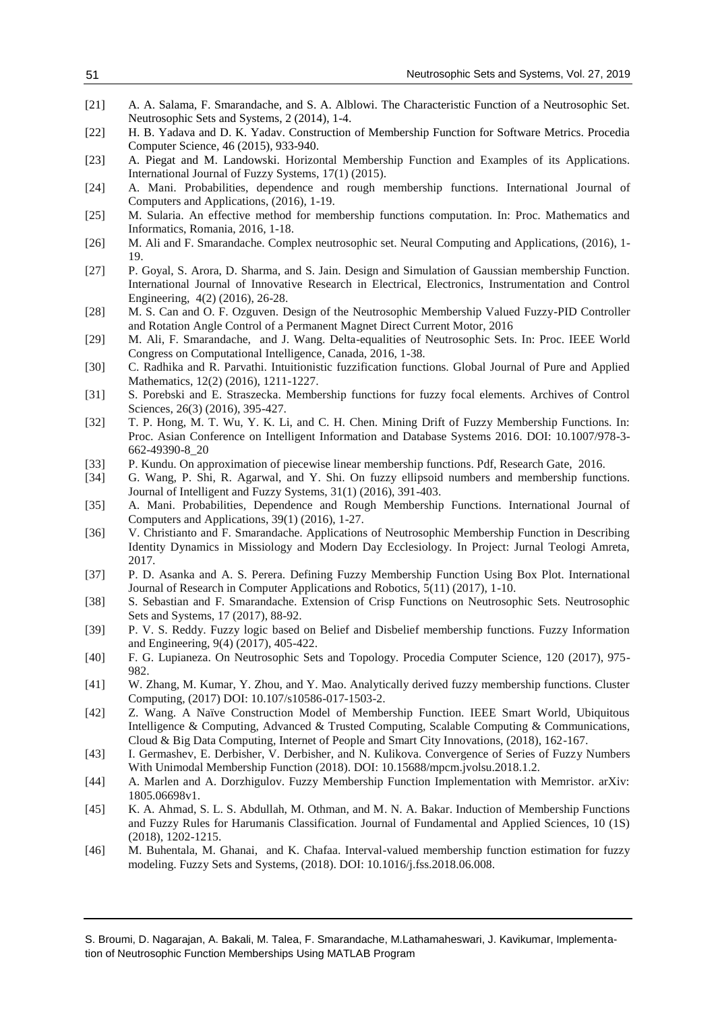# Neutrosophic Sets and Systems, Vol. 27, 2019

- [21] A. A. Salama, F. Smarandache, and S. A. Alblowi. The Characteristic Function of a Neutrosophic Set. Neutrosophic Sets and Systems, 2 (2014), 1-4.
- [22] H. B. Yadava and D. K. Yadav. Construction of Membership Function for Software Metrics. Procedia Computer Science, 46 (2015), 933-940.
- [23] A. Piegat and M. Landowski. Horizontal Membership Function and Examples of its Applications. International Journal of Fuzzy Systems, 17(1) (2015).
- [24] A. Mani. Probabilities, dependence and rough membership functions. International Journal of Computers and Applications, (2016), 1-19.
- [25] M. Sularia. An effective method for membership functions computation. In: Proc. Mathematics and Informatics, Romania, 2016, 1-18.
- [26] M. Ali and F. Smarandache. Complex neutrosophic set. Neural Computing and Applications, (2016), 1- 19.
- [27] P. Goyal, S. Arora, D. Sharma, and S. Jain. Design and Simulation of Gaussian membership Function. International Journal of Innovative Research in Electrical, Electronics, Instrumentation and Control Engineering, 4(2) (2016), 26-28.
- [28] M. S. Can and O. F. Ozguven. Design of the Neutrosophic Membership Valued Fuzzy-PID Controller and Rotation Angle Control of a Permanent Magnet Direct Current Motor, 2016
- [29] M. Ali, F. Smarandache, and J. Wang. Delta-equalities of Neutrosophic Sets. In: Proc. IEEE World Congress on Computational Intelligence, Canada, 2016, 1-38.
- [30] C. Radhika and R. Parvathi. Intuitionistic fuzzification functions. Global Journal of Pure and Applied Mathematics, 12(2) (2016), 1211-1227.
- [31] S. Porebski and E. Straszecka. Membership functions for fuzzy focal elements. Archives of Control Sciences, 26(3) (2016), 395-427.
- [32] T. P. Hong, M. T. Wu, Y. K. Li, and C. H. Chen. Mining Drift of Fuzzy Membership Functions. In: Proc. Asian Conference on Intelligent Information and Database Systems 2016. DOI: 10.1007/978-3- 662-49390-8\_20
- [33] P. Kundu. On approximation of piecewise linear membership functions. Pdf, Research Gate, 2016.
- [34] G. Wang, P. Shi, R. Agarwal, and Y. Shi. On fuzzy ellipsoid numbers and membership functions. Journal of Intelligent and Fuzzy Systems, 31(1) (2016), 391-403.
- [35] A. Mani. Probabilities, Dependence and Rough Membership Functions. International Journal of Computers and Applications, 39(1) (2016), 1-27.
- [36] V. Christianto and F. Smarandache. Applications of Neutrosophic Membership Function in Describing Identity Dynamics in Missiology and Modern Day Ecclesiology. In Project: Jurnal Teologi Amreta, 2017.
- [37] P. D. Asanka and A. S. Perera. Defining Fuzzy Membership Function Using Box Plot. International Journal of Research in Computer Applications and Robotics, 5(11) (2017), 1-10.
- [38] S. Sebastian and F. Smarandache. Extension of Crisp Functions on Neutrosophic Sets. Neutrosophic Sets and Systems, 17 (2017), 88-92.
- [39] P. V. S. Reddy. Fuzzy logic based on Belief and Disbelief membership functions. Fuzzy Information and Engineering, 9(4) (2017), 405-422.
- [40] F. G. Lupianeza. On Neutrosophic Sets and Topology. Procedia Computer Science, 120 (2017), 975- 982.
- [41] W. Zhang, M. Kumar, Y. Zhou, and Y. Mao. Analytically derived fuzzy membership functions. Cluster Computing, (2017) DOI: 10.107/s10586-017-1503-2.
- [42] Z. Wang. A Naïve Construction Model of Membership Function. IEEE Smart World, Ubiquitous Intelligence & Computing, Advanced & Trusted Computing, Scalable Computing & Communications, Cloud & Big Data Computing, Internet of People and Smart City Innovations, (2018), 162-167.
- [43] I. Germashev, E. Derbisher, V. Derbisher, and N. Kulikova. Convergence of Series of Fuzzy Numbers With Unimodal Membership Function (2018). DOI: 10.15688/mpcm.jvolsu.2018.1.2.
- [44] A. Marlen and A. Dorzhigulov. Fuzzy Membership Function Implementation with Memristor. arXiv: 1805.06698v1.
- [45] K. A. Ahmad, S. L. S. Abdullah, M. Othman, and M. N. A. Bakar. Induction of Membership Functions and Fuzzy Rules for Harumanis Classification. Journal of Fundamental and Applied Sciences, 10 (1S) (2018), 1202-1215.
- [46] M. Buhentala, M. Ghanai, and K. Chafaa. Interval-valued membership function estimation for fuzzy modeling. Fuzzy Sets and Systems, (2018). DOI: 10.1016/j.fss.2018.06.008.